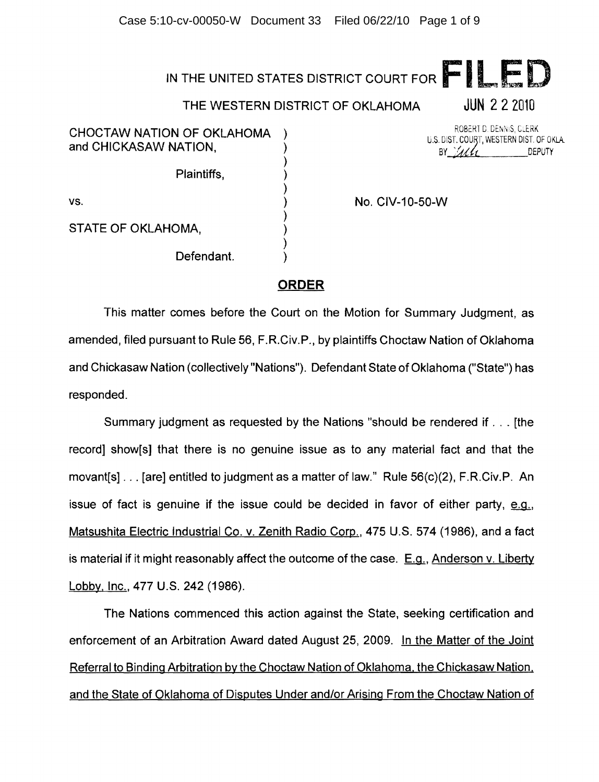## IN THE UNITED STATES DISTRICT COURT FOR  $\Box$

THE WESTERN DISTRICT OF OKLAHOMA **JUN** 222010

}

)

)

)

ROBERT D. DENNIS, CLERK CHOCTAW NATION OF OKLAHOMA ) BUT, AND ROBERT D. DENNIS, CLERK COURT, WESTERN DIST. OF OKLA. **and CHICKASAW NATION,**  $\frac{1}{BY}$  *is. DIST. COURT*, WESTERN DIST. OF OKLA.

Plaintiffs,

vs. ) No. CIV-10-50-W

STATE OF OKLAHOMA,

Defendant.

## **ORDER**

This matter comes before the Court on the Motion for Summary Judgment, as amended, filed pursuant to Rule 56, F.R.Civ.P., by plaintiffs Choctaw Nation of Oklahoma and Chickasaw Nation (collectively "Nations"). Defendant State of Oklahoma ("State") has responded.

Summary judgment as requested by the Nations "should be rendered if ... [the record] show[s] that there is no genuine issue as to any material fact and that the movant[s] ... [are] entitled to judgment as a matter of law." Rule 56(c)(2}, F.R.Civ.P. An issue of fact is genuine if the issue could be decided in favor of either party,  $e.g.,$ Matsushita Electric Industrial Co. v. Zenith Radio Corp., 475 U.S. 574 (1986), and a fact is material if it might reasonably affect the outcome of the case.  $E.g.,$  Anderson v. Liberty Lobby. Inc., 477 U.S. 242 (1986).

The Nations commenced this action against the State, seeking certification and enforcement of an Arbitration Award dated August 25, 2009. In the Matter of the Joint Referral to Binding Arbitration by the Choctaw Nation of Oklahoma. the Chickasaw Nation. and the State of Oklahoma of Disputes Under and/or Arising From the Choctaw Nation of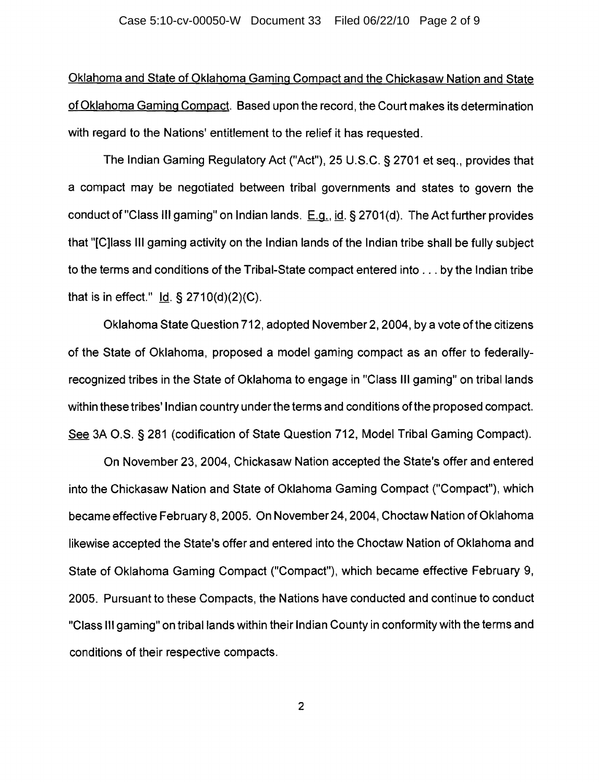Oklahoma and State of Oklahoma Gaming Compact and the Chickasaw Nation and State ofOklahoma Gaming Compact. Based upon the record, the Court makes its determination with regard to the Nations' entitlement to the relief it has requested.

The Indian Gaming Regulatory Act ("Act"), 25 U.S.C. § 2701 et seq., provides that a compact may be negotiated between tribal governments and states to govern the conduct of "Class **III gaming" on Indian lands.** E.g., id. § 2701(d). The Act further provides that "[C]lass **III** gaming activity on the Indian lands of the Indian tribe shall be fully subject to the terms and conditions of the Tribal-State compact entered into ... by the Indian tribe that is in effect."  $\underline{Id}$ . § 2710(d)(2)(C).

Oklahoma State Question 712, adopted November 2,2004, by a vote ofthe citizens of the State of Oklahoma, proposed a model gaming compact as an offer to federallyrecognized tribes in the State of Oklahoma to engage in "Class **III** gaming" on tribal lands within these tribes' Indian country under the terms and conditions of the proposed compact. See 3A O.S. § 281 (codification of State Question 712, Model Tribal Gaming Compact).

On November 23, 2004, Chickasaw Nation accepted the State's offer and entered into the Chickasaw Nation and State of Oklahoma Gaming Compact ("Compact"), which became effective February 8,2005. On November24, 2004, Choctaw Nation of Oklahoma likewise accepted the State's offer and entered into the Choctaw Nation of Oklahoma and State of Oklahoma Gaming Compact ("Compact"), which became effective February 9, 2005. Pursuant to these Compacts, the Nations have conducted and continue to conduct "Class III gaming" on tribal lands within their Indian County in conformity with the terms and conditions of their respective compacts.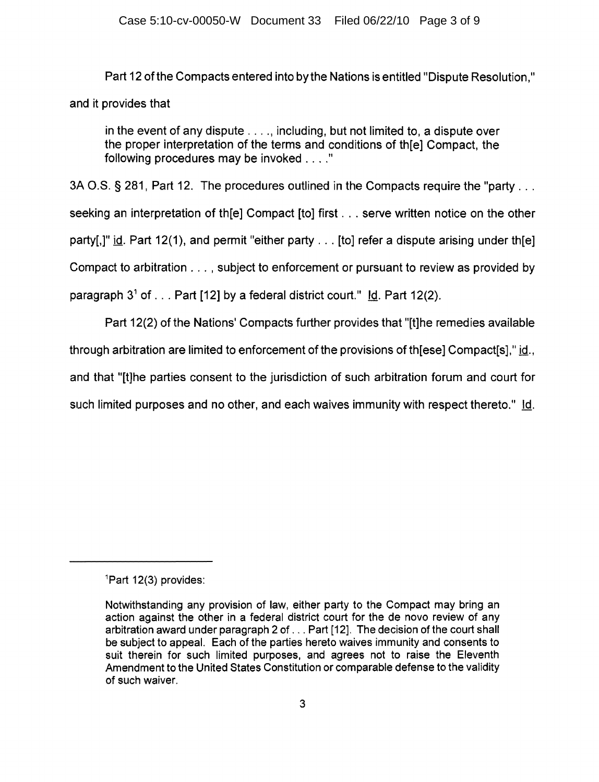Part 12 of the Compacts entered into by the Nations is entitled "Dispute Resolution," and it provides that

in the event of any dispute  $\dots$ , including, but not limited to, a dispute over the proper interpretation of the terms and conditions of th[e] Compact, the following procedures may be invoked ...."

3A O.S. § 281, Part 12. The procedures outlined in the Compacts require the "party ... seeking an interpretation of th[e] Compact [to] first ... serve written notice on the other party[,]" id. Part 12(1), and permit "either party  $\ldots$  [to] refer a dispute arising under th[e] Compact to arbitration ... , subject to enforcement or pursuant to review as provided by

paragraph  $3^1$  of  $\dots$  Part [12] by a federal district court." Id. Part 12(2).

Part 12(2) of the Nations' Compacts further provides that "[t]he remedies available through arbitration are limited to enforcement of the provisions of th[ese] Compact[s]," id., and that "[t]he parties consent to the jurisdiction of such arbitration forum and court for such limited purposes and no other, and each waives immunity with respect thereto." Id.

 $1$ Part 12(3) provides:

Notwithstanding any provision of law, either party to the Compact may bring an action against the other in a federal district court for the de novo review of any arbitration award under paragraph 2 of ... Part [12]. The decision of the court shall be subject to appeal. Each of the parties hereto waives immunity and consents to suit therein for such limited purposes, and agrees not to raise the Eleventh Amendment to the United States Constitution or comparable defense to the validity of such waiver.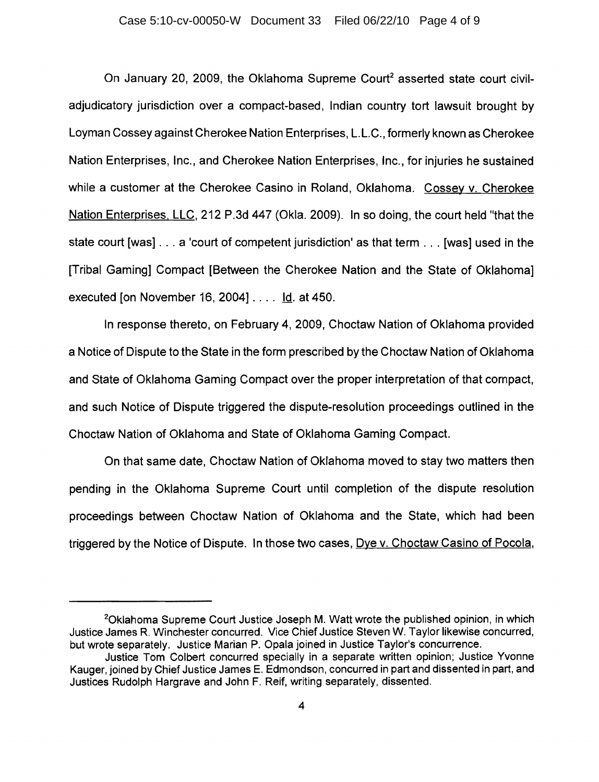On January 20, 2009, the Oklahoma Supreme Court<sup>2</sup> asserted state court civiladjudicatory jurisdiction over a compact-based, Indian country tort lawsuit brought by Loyman Cossey against Cherokee Nation Enterprises, L.L.C., formerly known as Cherokee Nation Enterprises, Inc., and Cherokee Nation Enterprises, Inc., for injuries he sustained while a customer at the Cherokee Casino in Roland, Oklahoma. Cossey v. Cherokee Nation Enterprises, LLC, 212 P.3d 447 (Okla. 2009). In so doing, the court held "that the state court [was] ... a 'court of competent jurisdiction' as that term ... [was] used in the [Tribal Gaming] Compact [Between the Cherokee Nation and the State of Oklahoma] executed [on November 16,2004] .... Id. at 450.

In response thereto, on February 4, 2009, Choctaw Nation of Oklahoma provided a Notice of Dispute to the State in the form prescribed by the Choctaw Nation of Oklahoma and State of Oklahoma Gaming Compact over the proper interpretation of that compact, and such Notice of Dispute triggered the dispute-resolution proceedings outlined in the Choctaw Nation of Oklahoma and State of Oklahoma Gaming Compact.

On that same date, Choctaw Nation of Oklahoma moved to stay two matters then pending in the Oklahoma Supreme Court until completion of the dispute resolution proceedings between Choctaw Nation of Oklahoma and the State, which had been triggered by the Notice of Dispute. In those two cases, Dye v. Choctaw Casino of Pocola,

<sup>&</sup>lt;sup>2</sup> Oklahoma Supreme Court Justice Joseph M. Watt wrote the published opinion, in which Justice James R. Winchester concurred. Vice Chief Justice Steven W. Taylor likewise concurred, but wrote separately. Justice Marian P. Opala joined in Justice Taylor's concurrence.

Justice Tom Colbert concurred specially in a separate written opinion; Justice Yvonne Kauger, joined by Chief Justice James E. Edmondson, concurred in part and dissented in part, and Justices Rudolph Hargrave and John F. Reif, writing separately, dissented.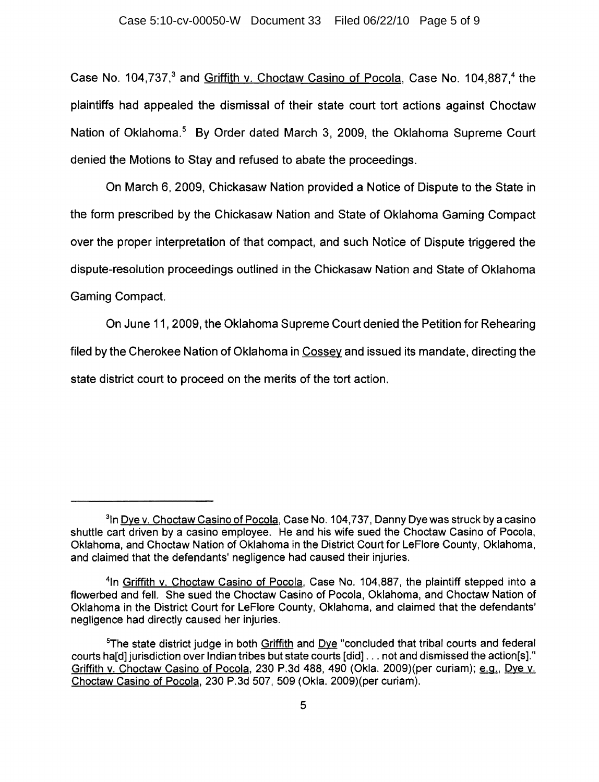Case No. 104,737,<sup>3</sup> and Griffith v. Choctaw Casino of Pocola, Case No. 104,887,<sup>4</sup> the plaintiffs had appealed the dismissal of their state court tort actions against Choctaw Nation of Oklahoma.<sup>5</sup> By Order dated March 3, 2009, the Oklahoma Supreme Court denied the Motions to Stay and refused to abate the proceedings.

On March 6, 2009, Chickasaw Nation provided a Notice of Dispute to the State in the form prescribed by the Chickasaw Nation and State of Oklahoma Gaming Compact over the proper interpretation of that compact, and such Notice of Dispute triggered the dispute-resolution proceedings outlined in the Chickasaw Nation and State of Oklahoma Gaming Compact.

On June 11,2009, the Oklahoma Supreme Court denied the Petition for Rehearing filed by the Cherokee Nation of Oklahoma in Cossey and issued its mandate, directing the state district court to proceed on the merits of the tort action.

 $3$ in Dye v. Choctaw Casino of Pocola, Case No. 104,737, Danny Dye was struck by a casino shuttle cart driven by a casino employee. He and his wife sued the Choctaw Casino of Pocola, Oklahoma, and Choctaw Nation of Oklahoma in the District Court for LeFlore County, Oklahoma, and claimed that the defendants' negligence had caused their injuries.

<sup>&</sup>lt;sup>4</sup>In Griffith v. Choctaw Casino of Pocola, Case No. 104,887, the plaintiff stepped into a flowerbed and fell. She sued the Choctaw Casino of Pocola, Oklahoma, and Choctaw Nation of Oklahoma in the District Court for LeFlore County, Oklahoma, and claimed that the defendants' negligence had directly caused her injuries.

<sup>5</sup>The state district judge in both Griffith and Dye "concluded that tribal courts and federal courts ha[d] jurisdiction over Indian tribes but state courts [did] ... not and dismissed the action[s]." Griffith v. Choctaw Casino of Pocola, 230 P.3d 488, 490 (Okla. 2009)(per curiam); e.g., Dye v. Choctaw Casino of Pocola, 230 P.3d 507, 509 (Okla. 2009)(per curiam).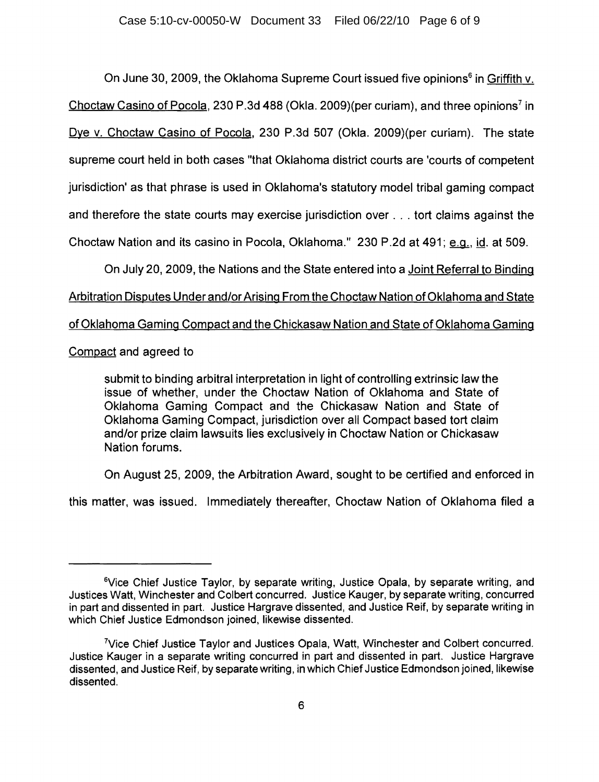On June 30, 2009, the Oklahoma Supreme Court issued five opinions<sup>6</sup> in Griffith v. Choctaw Casino of Pocola, 230 P.3d 488 (Okla. 2009)(per curiam), and three opinions<sup>7</sup> in Dye v. Choctaw Casino of Pocola, 230 P.3d 507 (Okla. 2009)(per curiam). The state supreme court held in both cases "that Oklahoma district courts are 'courts of competent jurisdiction' as that phrase is used in Oklahoma's statutory model tribal gaming compact and therefore the state courts may exercise jurisdiction over ... tort claims against the Choctaw Nation and its casino in Pocola, Oklahoma." 230 P.2d at 491; e.g., id. at 509.

On July 20, 2009, the Nations and the State entered into a Joint Referral to Binding

Arbitration Disputes Under and/or Arising From the Choctaw Nation of Oklahoma and State

of Oklahoma Gaming Compact and the Chickasaw Nation and State of Oklahoma Gaming

Compact and agreed to

submit to binding arbitral interpretation in light of controlling extrinsic law the issue of whether, under the Choctaw Nation of Oklahoma and State of Oklahoma Gaming Compact and the Chickasaw Nation and State of Oklahoma Gaming Compact, jurisdiction over all Compact based tort claim and/or prize claim lawsuits lies exclusively in Choctaw Nation or Chickasaw Nation forums.

On August 25, 2009, the Arbitration Award, sought to be certified and enforced in

this matter, was issued. Immediately thereafter, Choctaw Nation of Oklahoma filed a

<sup>&</sup>lt;sup>6</sup>Vice Chief Justice Taylor, by separate writing, Justice Opala, by separate writing, and Justices Watt, Winchester and Colbert concurred. Justice Kauger, by separate writing, concurred in part and dissented in part. Justice Hargrave dissented, and Justice Reif, by separate writing in which Chief Justice Edmondson joined, likewise dissented.

<sup>7</sup>Vice Chief Justice Taylor and Justices Opala, Watt, Winchester and Colbert concurred. Justice Kauger in a separate writing concurred in part and dissented in part. Justice Hargrave dissented, and Justice Reif, by separate writing, in which Chief Justice Edmondson joined, likewise dissented.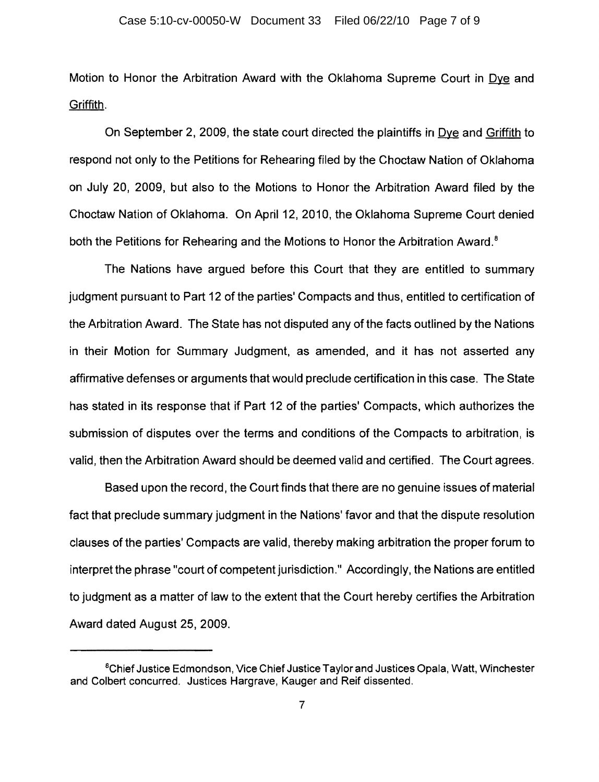Motion to Honor the Arbitration Award with the Oklahoma Supreme Court in Dye and Griffith.

On September 2, 2009, the state court directed the plaintiffs in Dye and Griffith to respond not only to the Petitions for Rehearing filed by the Choctaw Nation of Oklahoma on July 20, 2009, but also to the Motions to Honor the Arbitration Award filed by the Choctaw Nation of Oklahoma. On April 12, 2010, the Oklahoma Supreme Court denied both the Petitions for Rehearing and the Motions to Honor the Arbitration Award.<sup>8</sup>

The Nations have argued before this Court that they are entitled to summary judgment pursuant to Part 12 of the parties' Compacts and thus, entitled to certification of the Arbitration Award. The State has not disputed any of the facts outlined by the Nations in their Motion for Summary Judgment, as amended, and it has not asserted any affirmative defenses or arguments that would preclude certification in this case. The State has stated in its response that if Part 12 of the parties' Compacts, which authorizes the submission of disputes over the terms and conditions of the Compacts to arbitration, is valid, then the Arbitration Award should be deemed valid and certified. The Court agrees.

Based upon the record, the Court finds that there are no genuine issues of material fact that preclude summary judgment in the Nations' favor and that the dispute resolution clauses of the parties' Compacts are valid, thereby making arbitration the proper forum to interpret the phrase "court of competent jurisdiction." Accordingly, the Nations are entitled to judgment as a matter of law to the extent that the Court hereby certifies the Arbitration Award dated August 25, 2009.

<sup>&</sup>lt;sup>8</sup>Chief Justice Edmondson, Vice Chief Justice Taylor and Justices Opala, Watt, Winchester and Colbert concurred. Justices Hargrave, Kauger and Reif dissented.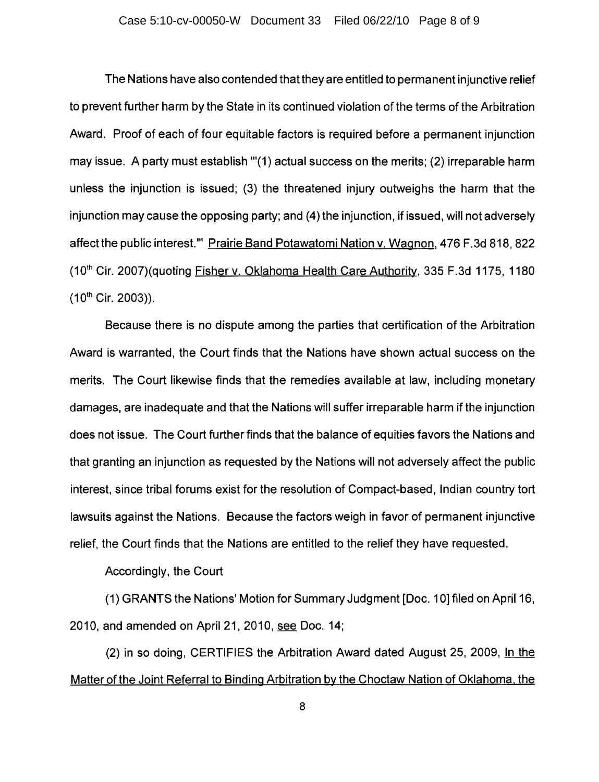The Nations have also contended that they are entitled to permanent injunctive relief to prevent further harm by the State in its continued violation of the terms of the Arbitration Award. Proof of each of four equitable factors is required before a permanent injunction may issue. A party must establish "'(1) actual success on the merits; (2) irreparable harm unless the injunction is issued; (3) the threatened injury outweighs the harm that the injunction may cause the opposing party; and (4) the injunction, if issued, will not adversely affect the public interest." Prairie Band Potawatomi Nation v. Wagnon, 476 F.3d 818, 822  $(10<sup>th</sup>$  Cir. 2007)(quoting Fisher v. Oklahoma Health Care Authority, 335 F.3d 1175, 1180  $(10^{th}$  Cir. 2003)).

Because there is no dispute among the parties that certification of the Arbitration Award is warranted, the Court finds that the Nations have shown actual success on the merits. The Court likewise finds that the remedies available at law, including monetary damages, are inadequate and that the Nations will suffer irreparable harm if the injunction does not issue. The Court further finds that the balance of equities favors the Nations and that granting an injunction as requested by the Nations will not adversely affect the public interest, since tribal forums exist for the resolution of Compact-based, Indian country tort lawsuits against the Nations. Because the factors weigh in favor of permanent injunctive relief, the Court finds that the Nations are entitled to the relief they have requested.

Accordingly, the Court

(1) GRANTS the Nations' Motion for Summary Judgment [Doc. 10] filed on April 16, 2010, and amended on April 21, 2010, see Doc. 14;

(2) in so doing, CERTIFIES the Arbitration Award dated August 25, 2009, In the Matter of the Joint Referral to Binding Arbitration by the Choctaw Nation of Oklahoma. the